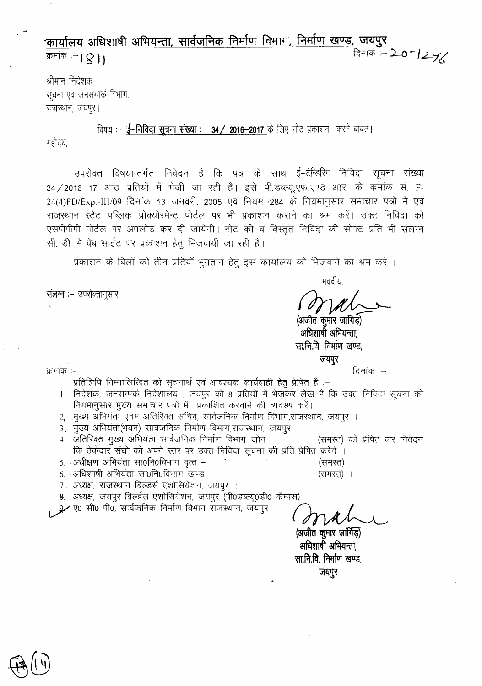'कार्यालय अधिशाषी अभियन्ता, सार्वजनिक निर्माण विभाग, निर्माण खण्ड, जयपुुर कमांक :−1⊘।1<br>क्रमांक :−1⊘।1

श्रीमान निदेशक, सूचना एवं जनसम्पर्क विभाग, राजस्थान, जयपुर।

विषय :- **:{--निविदा सूचना संख्या : 34 / 2016--2017** के लिए नोट प्रकाशन करने बाबत। महोदय,

उपरोक्त विषयान्तर्गत निवेदन है कि पत्र के साथ ई–टेन्डिरिंग निविदा सूचना संख्या 34 / 2016–17 आठ प्रतियों में भेजी जा रही है। इसे पी.डब्ल्यू.एफ.एण्ड आर. के कमांक सं. F-24(4)FD/Exp.-III/09 दिनांक 13 जनवरी, 2005 एवं नियम-284 के नियमानुसार समाचार पत्रों में एवं राजस्थान स्टेट पब्लिक प्रोक्योरमेन्ट पोर्टल पर भी प्रकाशन कराने का श्रम करें। उक्त निविदा को एसपीपीपी पोर्टल पर अपलोड कर दी जायेगी। नोट की व विस्तृत निविदा की सोफ्ट प्रति भी संलग्न सी. डी. में वेब साईट पर प्रकाशन हेतू भिजवायी जा रही है।

प्रकाशन के बिलों की तीन प्रतियाँ भुगतान हेतू इस कार्यालय को भिजवाने का श्रम करें ।

संलग्न :-- उपरोक्तानुसार

भवदीय

~

(अजीत कुमार अधिशाषी अभियन्ता. सा.नि.वि. निर्माण खण्ड, जयपूर

~TC{) - fc;.-ri<:n -

क्रमांक :<del>--</del><br>-- प्रतिलिपि निम्नालिखित को सूचनार्थ एवं आवश्यक कार्यवाही हेतू प्रेषित है :--

- I. निदेशक, जनसम्पर्क निदेशालय , जयपुर को 8 प्रतियों में भेजकर लेख है कि उक्त निविदा सूचना को नियमानुसार मुख्य समाचार पत्रों में प्रकाशित करवाने की व्यवस्थ करें।
- 2. मुख्य अभियंता एवम अतिरिक्त सचिव, सार्वजनिक निर्माण विभाग,राजस्थान, जयपुर ।
- 3. मुख्य अभियंता(भवन) सार्वजनिक निर्माण विभाग,राजस्थान, जयपुर
- 4. अतिरिक्त मुख्य अभियंता सार्वजनिक निर्माण विभाग जोन $\qquad \qquad \qquad$  (समस्त) को प्रेषित कर निवेदन कि ठेकेदार संघो को अपने स्तर पर उक्त निविदा सूचना की प्रति प्रेषित करेगें ।
- 5.. 3ls'i'rlffUT~ mof.iofcrwT ~ . ("ftl1fC'1') I
- 6. अधिशाषी अभियंता सा0नि0विभाग खण्ड (समस्त) ।
- 7.. अध्यक्ष, राजस्थान बिल्डर्स एशोसियेशन, जयपुर ।
- 8. अध्यक्ष, जयपुर बिल्डेंस एशोसियेशन, जयपुर (पी०डब्ल्यू०डी० कैम्पस)
- **g∕** ए0 सी0 पी0, सार्वजनिक निर्माण विभाग राजस्थान, जयपुर ।

(अजीत कुमार जांगिड) अधिशाषी अभियन्ता. सा.नि.वि. निर्माण खण्ड, जयपुर

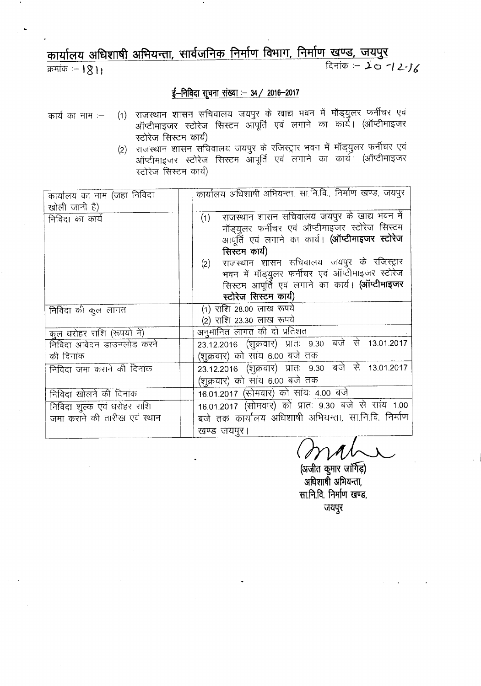कार्यालय अधिशाषी अभियन्ता, सार्वजनिक निर्माण विभाग, निर्माण खण्ड, जयपुर

**<sup>~</sup> :- \ <sup>811</sup> <sup>~</sup> :-** .1<:) *--I L-J 6*

### ई-निविदा सूचना संख्या :- 34 / 2016-2017

"CflT<f cnr -;:n+1:- (1) ~~ wx:A xiR!cllc>lll <sup>~</sup> "\* m ~ <sup>B</sup> lil~9)c>l'1 <sup>~</sup> <sup>~</sup> ऑप्टीमाइजर स्टोरेज सिस्टम आपूर्ति एव लगाने का कार्ये। (आप्टीमाइजर स्टोरेज सिस्टम कार्य)

> (2) राजस्थान शासन सचिवालय जयपुर के रजिस्ट्रार भवन में मॉड्युलर फर्नीचर ए ऑप्टीमाइजर स्टोरेज सिस्टम आपूर्ति एव लगाने का कार्य। (आप्टीमाइज स्टोरेज सिस्टम कार्य)

|                              | कार्यालय अधिशाषी अभियन्ता, सा.नि.वि., निर्माण खण्ड, जयपुर |  |  |  |
|------------------------------|-----------------------------------------------------------|--|--|--|
| कार्यालय का नाम (जहां निविदा |                                                           |  |  |  |
| खोली जानी है)                |                                                           |  |  |  |
| निविदा का कार्य              | राजस्थान शासन सचिवालय जयपुर के खाद्य भवन में<br>(1)       |  |  |  |
|                              | मॉड्यूलर फर्नीचर एवं ऑप्टीमाइजर स्टोरेज सिस्टम            |  |  |  |
|                              | आपूर्ति एवं लगाने का कार्य। (ऑप्टीमाइजर स्टोरेज           |  |  |  |
|                              | सिस्टम कार्य)                                             |  |  |  |
|                              |                                                           |  |  |  |
|                              | राजस्थान शासन सचिवालय जयपुर के रजिस्ट्रार<br>(2)          |  |  |  |
|                              | भवन में मॉड्युलर फर्नीचर एवं ऑप्टीमाइजर स्टोरेज           |  |  |  |
|                              | सिस्टम आपूर्ति एवं लगाने का कार्य। <b>(ऑप्टीमाइजर</b>     |  |  |  |
|                              | स्टोरेज सिस्टम कार्य)                                     |  |  |  |
| निविदा की कुल लागत           | (1) राशि 28.00 लाख रूपये                                  |  |  |  |
|                              | (2) राशि 23.30 लाख रूपये                                  |  |  |  |
|                              | अनुमानित लागत की दो प्रतिशत                               |  |  |  |
| कुल धरोहर राशि (रूपयों में)  |                                                           |  |  |  |
| निविदा आवेदन डाउनलोड करने    | 23.12.2016 (शुक्रवार) प्रातः 9.30 बजे से 13.01.2017       |  |  |  |
| की दिनांक                    | (शुक्रवार) को सांय 6.00 बजे तक                            |  |  |  |
| निविदा जमा कराने की दिनांक   | 23.12.2016 (शुक्रवार) प्रातः 9.30 बजे से 13.01.2017       |  |  |  |
|                              | (शुक्रवार) को सांय 6.00 बजे तक                            |  |  |  |
| निविदा खोलने की दिनांक       | 16.01.2017 (सोमवार) को सांयः 4.00 बजे                     |  |  |  |
|                              | 16.01.2017 (सोमवार) को प्रातः 9.30 बजे से सांय 1.00       |  |  |  |
| निविदा शुल्क एवं धरोहर राशि  |                                                           |  |  |  |
| जमा कराने की तारीख एवं स्थान | बजे तक कार्यालय अधिशाषी अभियन्ता, सा.नि.वि. निर्माण       |  |  |  |
|                              | खण्ड जयपुर।                                               |  |  |  |

.

(अजीत कुमार जांगिड़) अधिशाषी अभियन्ता, सा.नि.वि. निर्माण खण्ड, जयपुर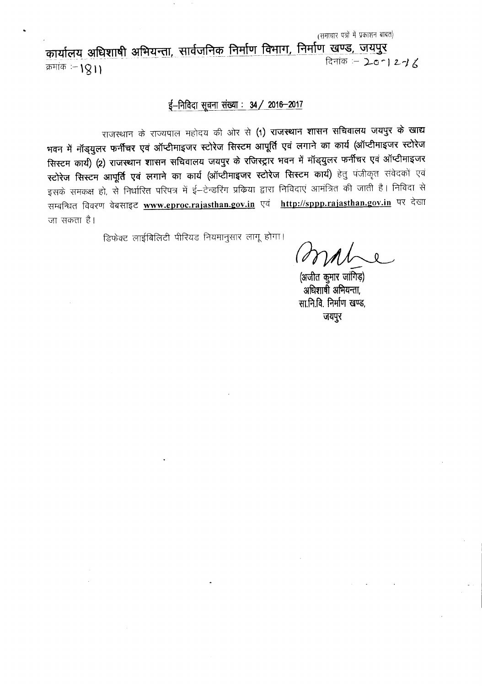(समाचार पत्रों में प्रकाशन बाबत)

कार्यालय अधिशाषी अभियन्ता, सार्वजनिक <u>निर्माण विभाग, निर्माण खण्ड, जय</u> ~TCfi :~ \ <61) \_ - \_\_ <sup>~</sup> \_ . - f0fq) :- **)\_c.-** <sup>J</sup> *2-~J* 6

# ~MGr\_@\_ **M: 34/ 2016-2017**

राजस्थान के राज्यपाल महोदय की ओर से **(1) राजस्थान शासन सचिवालय जयपुर के ख** भवन में मॉड्युलर फर्नीचर एवं ऑप्टीमाइजर स्टोरेज सिस्टम आपूर्ति एवं लगाने का कार्य (ऑप्टीमाइजर स्टोरेज सिस्टम कार्य) (2) राजस्थान शासन सचिवालय जयपुर के रजिस्ट्रार भवन में मॉड्युलर फर्नीचर एवं ऑप्टीमाइजर स्टोरेज सिस्टम आपूर्ति एवं लगाने का कार्य (ऑप्टीमाइजर स्टोरेज सिस्टम कार्य) हेतु पंजीकृत संवेदकों एवं इसके समकक्ष हो, से निर्धारित परिपत्र में ई–टेन्डरिंग प्रकिया द्वारा निविदाएं आमंत्रित की जाती है। निविदा से सम्बन्धित विवरण वेबसाइट www.eproc.rajasthan.gov.in एवं http://sppp.rajasthan.gov.in पर देखा जा सकता है।

डिफेक्ट लाईबिलिटी पीरियड नियमानुसार लागू होगा।

..

~

(अजीत कुम अधिशाषी अभियन्ता, सा.नि.वि. निर्माण खण्ड, जयपुर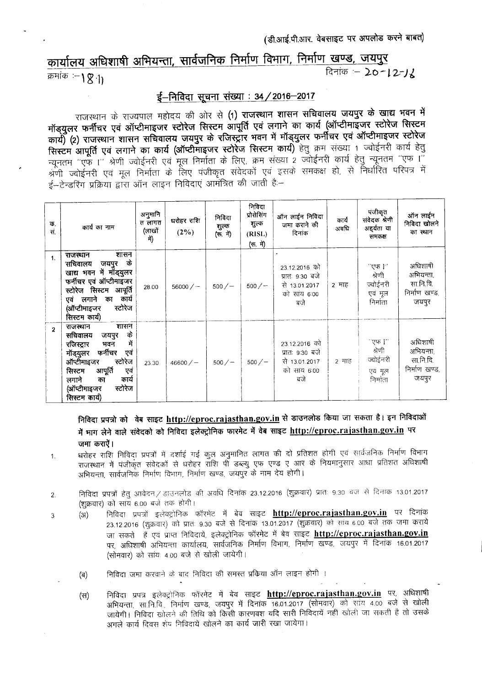(डी.आई.पी.आर. वेबसाइट पर अपलोड करने बाबत)

## कार्यालय अधिशार्षी अभियन्ता, सावजानक निर्माण विमाग, निर्माण खण्ड, जयपुर W11icIJ :-, **2\$ '1) <sup>~</sup> :-** z.o **-!***2;-)l*

#### **1-frrfclcrr ~ ~ : 34/2016-2011**

राजस्थान के राज्यपाल महोदय की ओर से (1) **राजस्थान शासन सचिवालय जयपुर के खाद्य भवन में** मॉड्युलर फर्नीचर एवं ऑप्टीमाइजर स्टोरेज सिस्टम आपूर्ति एवं लगाने का कार्य (ऑप्टीमाइजर स्टोरेज सिस्टम कार्य) (2) राजस्थान शासन सचिवालय जयपुर के रजिस्ट्रांर भवन में मॉड्युलर फर्नीचर एवं ऑप्टीमाइजर स्टोरेज सिस्टम आपूर्ति एवं लगाने का कार्य (ऑप्टीमाइजर स्टोरेज सिस्टम कार्य) हेतु क्रम संख्या 1 ज्वोईनरी कार्य हेतु ~1 "-c;qJ I" ~ VCl'1~+fl ~ ~ f.4l:1fm ~ ~. W'1 ~ 2 VCl'1~'"i~ cpT4 -gg ~ "-c;qJ I" श्रेणी ज्वोईनरी एवं मूल निर्माता के लिए पंजीकृत संवेदकों एवं इसके समकक्ष हो, से निर्धारित परिपत्र में  $\frac{1}{5}$ –टेन्डरिंग प्रक्रिया द्वारा ऑन लाइन निविदाएं आमंत्रित की जाती हैं:–

| ъ.<br>सं.      | कार्य का नाम                                                                                                                                                                                                              | अनुमानि<br>त लागत<br>(लाखों<br>मे) | धरोहर राशि<br>$(2\%)$ | निविदा<br>शुल्क<br>$(\overline{m}, n)$ | निविदा<br>प्रोसेसिंग<br>शुल्क<br>(RISL)<br>(रू. में) | ऑन लाईन निविदा<br>जमा कराने की<br>दिनांक                                 | कार्य<br>अवधि | पंजीकृत<br>संवेदक श्रेणी<br>अहर्यता या<br>समकक्ष               | ऑन लाईन<br>निविदा खोलने<br>का स्थान                         |
|----------------|---------------------------------------------------------------------------------------------------------------------------------------------------------------------------------------------------------------------------|------------------------------------|-----------------------|----------------------------------------|------------------------------------------------------|--------------------------------------------------------------------------|---------------|----------------------------------------------------------------|-------------------------------------------------------------|
| 1.             | शासन<br>राजस्थान<br>के<br>सचिवालय<br>जयपुर<br>खाद्य भवन में मॉड्युलर<br>फर्नीचर एवं ऑप्टीमाइजर<br>स्टोरेज सिस्टम आपूर्ति<br>एवं लगाने का कार्य<br>स्टोरेज<br>(ऑप्टीमाइजर<br>सिस्टम कार्य)                                 | 28.00                              | 56000 $/$ -           | $500 / -$                              | $500 / -$                                            | 23.12.2016 को<br>प्रातः ९:३० वजे<br>से 13.01.2017<br>को सांय 6:00<br>बजे | 2 माह         | "एफ 1"<br>श्रेणी<br>ज्वोईनरी<br>एवं मूल<br>निर्माता            | अधिशाषी<br>अभियन्ता,<br>सा.नि.वि.<br>निर्माण खण्ड,<br>जयपुर |
| $\overline{2}$ | राजस्थान<br>शासन<br>के<br>सचिवालय<br>जयपुर<br>ਸੇਂ<br>रजिस्ट्रार<br>भवन<br>मॉड्युलर फर्नीचर<br>एवं<br>स्टोरेज<br>ऑप्टीमाइजर<br>आपूर्ति<br>सिस्टम<br>एवं<br>कार्य<br>लगाने<br>का<br>स्टोरेज<br>(ऑप्टीमाइजर<br>सिस्टम कार्य) | 23.30                              | $46600 / -$           | $500 / -$                              | $500 / -$                                            | 23.12.2016 को<br>प्रातः ९:३० बजे<br>से 13.01.2017<br>को सांय 6:00<br>बजे | 2 माह         | "एफ <sup>1"</sup><br>श्रेणी<br>ज्वोईनरी<br>एवं मूल<br>निर्माता | अधिशाषी<br>अभियन्ता,<br>सा.नि.वि.<br>निर्माण खण्ड,<br>जयपुर |

**निविदा प्रपत्रो को वेब साइट http://eproc.rajasthan.gov.in से डाउनलोड किया जा सकता है। इन निविदाओं** में भाग लेने वाले संवेदको को निविदा इलेक्ट्रोनिक फारमेट में वेब साइट http://eproc.rajasthan.gov.in पर जमा कराएँ।

- 1. धरोहर राशि निविदा प्रपत्रों में दर्शाई गई कुल अनुमानित लागत की दो प्रतिशत होगी एवं सार्वजनिक निर्माण विभाग धरोहर राशि निर्विदा प्रपत्रों में देशीई गई कुल अनुमानित लोगत की दी प्रतिशत होगा एवं सावजानक निर्माण<br>राजस्थान में पंजीकृत संवेदकों से धरोहर राशि पी डब्ल्यु एफ एण्ड ए आर के नियमानुसार आधा प्रतिशत अ अभियन्ता, सार्वजनिक निर्माण विभाग, निर्माण खण्ड, जयपुर के नाम देय होगी।
- 2. f.1fctc:1 <sup>~</sup> tg ~ / 6T\)Olill6 ctl 31c1iSr <sup>~</sup> 23.12.20 <sup>16</sup> (~) qITl 9.30 *iF-51* fl R"iTCfi 13.01 .2017 (शुक्रवार) को सांय 6.00 बजे तक होगी।
- 3 (अ) निविदा प्रपत्रों इलेक्ट्रोनिक फॉरमेट में बेव साइट http://eproc.rajasthan.gov.in पर दिनांक 23.12.2016 (शुक्रवार) को प्रातः 9.30 बजे से दिनांक 13.01.2017 (शुक्रवार) को सांय 6.00 बजे तक जमा कराये जा सकते हैं एवं प्राप्त निविदायें, इलेक्ट्रोनिक फॉरमेट में बेव साइट http://eproc.rajasthan.gov.in पर, अधिशाषी अभियन्ता कार्यालय, सार्वजनिक निर्माण विभाग, निर्माण खण्ड, जयपुर में दिनांक 16.01.2017 (सोमवार) को सांय 4.00 बजे से खोली जायेगी।
	- निविदा जमा करवाने के बाद निविदा की समस्त प्रक्रिया ऑन लाइन होगी । (ন)
	- (स) निविदा प्रपत्र इलेक्ट्रोनिक फॉरमेट में बेव साइट **http://eproc.rajasthan.gov.in** पर, अधिशाषी अभियन्ता, सा.नि.वि., निर्माण खण्ड, जयपुर में दिनांक 16.01.2017 (सोमवार) को सांय 4.00 बजे से खोली जायेगी। निविदा खोलने की तिथि को किसी कारणवश यदि सारी निविदायें नहीं खोली जा सकती है तो उसके अगले कार्य दिवस शेष निविदायें खोलने का कार्य जारी रखा जायेगा।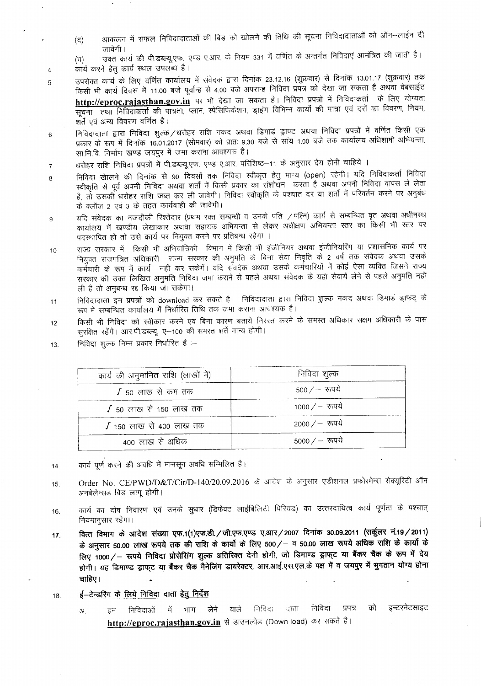- (द) आकंलन में सफल निविदादाताओं की बिड को खोलने की तिथि की सूचना निविदादाताओं को ऑन--लाईन दी
- ~I *(a)* \3Cffi CflT<f qi1 LfT.~~. <sup>~</sup> ~.3m. *ct* f.'n:rl:l <sup>331</sup> <sup>1</sup>'\ C!fUf<l cf; <sup>~</sup> <sup>~</sup> <sup>~</sup> qi1 \Jffi\1 t <sup>I</sup>
- (य) उक्त कार्य की पी.डब्ल्यू.एफ. ए<br>4 - कार्य करने हेतु कार्य स्थल उपलब्ध है।

5 - उपरोक्त कार्य के लिए वर्णित कार्यालय में संवेदक द्वारा दिनांक 23.12.16 (शुक्रवार्) से दिनांक 13.01.17 (शुक्रवार) तक किसी भी कार्य दिवस में 11.00 बजे पूर्वान्ह से 4.00 बजे अपरान्ह निविदा प्रपत्र को देखा जा सकता है अथवा वेबसाईट http://eproc.rajasthan.gov.in पर भी देखा जा सकता है। निविदा प्रपत्रों में निविदाकर्ता के लिए योग्यता -<br>सूचना तथा निविदाकर्ता की पात्रता, प्लान, स्पेसिफिकेशन, ड्राइंग विभिन्न कार्यों की मात्रा एवं दरों का विवरण, नियम, शर्तें एवं अन्य विवरण वर्णित है।

- 6 निविदादाता द्वारा निविदा शुल्क ⁄ धरोहर राशि नकद अथवा डिमाड ड्राफ्ट अथवा निविदा प्रपत्नों में वर्णित किसी एक प्रकार के रूप में दिनांक 16.01.2017 (सोमवार) को प्रातः 9.30 बजे से सांय 1.00 बजे तक कार्यालय अधिशाषी अभियन्ता, सा.नि.वि. निर्माण खण्ड जयपुर में जमा कराना आवश्यक है।
- 7 धरोहर राशि निविदा प्रपत्रों में पी.डब्ल्यू.एफ. एण्ड ए.आर. परिशिष्ठ–11 के अनुसार देय होनी चाहिये ।
- 8 निविदा खोलने की दिनांक से 90 दिवसों तक निविदा स्वीकृत हेतु मान्य (open) रहेगी। यदि निविदाकर्ता निविदा . स्वीकृति से पूर्व अपनी निविदा अथवा शर्तों में किसी प्रकार का संशोधन करता है अथवा अपनी निविदा वापस ले लेता है, तो उसकी धरोहर राशि जब्त कर ली जावेगी। निविदा स्वीकृति के पश्चात दर या शर्तो में परिवर्तन करने पर अनुबंध *x a a* 2 एवं 3 के तहत कार्यवाही की जावेगी।
- 9 यदि संवेदक का नजदीकी रिश्तेदार (प्रथम रक्त सम्बन्धी व उनके पति  $\diagup$ पत्नि) कार्य से सम्बन्धित वृत अथवा अधीनस्थ कार्यालय में खण्डीय लेखाकार अथवा सहायक अभियन्ता से लेकर अधीक्षण अभियन्ता स्तर का किसी भी स्तर पर पदर्श्यापित हो तो उसे कार्य पर नियुक्त करने पर प्रतिबन्ध रहेगा ।
- 10 ~ राज्य सरकार में किसी भी अभियांत्रिकी विभाग में किसी भी इंजीनियर अथवा इंजीनियरिंग या प्रशासनिक कार्य पर् नियुक्त राजपत्रित अधिकारी राज्य सरकार की अनुमति के बिना सेवा निवृति के 2 वर्ष तक संवेदक अथवा उसके कर्मचारी के रूप में कार्य नहीं कर सकेंगें। यदि संवदेक अथवा उसके कर्मचारियों में कोई ऐसा व्यक्ति जिसने राज्य सरकार की उक्त लिखित अनुमति निविदा जमा कराने से पहले अथवा संवेदक के यहां सेवायें लेने से पहले अनुमति नहीं ली है तो अनुबन्ध रद्द किया जा सकेगा।
- 11 निविदादाता इन प्रपत्रों को download कर सकते है। निविदादाता द्वारा निविदा शुल्क नकद अथवा डिमाडं झाफट् के रूप में सम्बन्धित कार्यालय में निर्धारित तिथि तक जमा कराना आवश्यक है।
- 12. ^ किसी भी निविदा को स्वीकार करने एवं बिना कारण बताये निरस्त करने के समस्त अधिकार सक्षम अधिकारी के पास सुरक्षित रहेंगे। आर.पी.डब्ल्यू. ए–100 की समस्त शर्ते मान्य होगी।
- 13. निविदा शुल्क निम्न प्रकार निर्धारित है :–

| कार्य की अनुमानित राशि (लाखों में) | निविदा शूल्क     |  |  |
|------------------------------------|------------------|--|--|
| $\int$ 50 लाख से कम तक             | 500 / $-$ रुपये  |  |  |
| ∫ 50 लाख से 150 लाख तक             | 1000 $/$ – रूपये |  |  |
| $\int$ 150 लाख से 400 लाख तक       | 2000 $/$ – रूपये |  |  |
| 400 लाख से अधिक                    | 5000 $/$ – रूपये |  |  |

- कार्य पूर्ण करने की अवधि में मानसून अवधि सम्मिलित है। 14.
- 15. Order No. CE/PWD/D&T/Cir/D-140/20.09.2016 के आदेश के अनुसार एडीशनल प्रफोरमेन्स सेक्यूरिटी ऑन अनबेलेन्सड बिड लागू होगी।
- 16. 49 कार्य का दोष निवारण एवं उनके सुधार (डिफेक्ट लाईबिलिटी पिरियड) का उत्तरदायित्व कार्य पूर्णता के पश्चात् नियमानुसार रहेगा।
- **17. ~ ~** c6 ~ ~ -qq;.1(1)-qq;.~./\ift.-qq;.~ ~.3"IN/2007 ~ **30.09.2011 ~ -;:{.19/2011)** c6 ~ **50.00 ~ ~** (fcI; qft XJftr c6 CIlTlit c6 ~ 500/- 'if **50.00 ~ ~ ~** XJftr c6 CIlTlit c6 लिए 1000/- रूपये निविदा प्रोसेसिंग शुल्क अतिरिक्त देनी होगी, जो डिमाण्ड ड्राफ्ट या बैंकर चैक के रूप में देय होगी। यह डिमाण्ड ड्राफ्ट या बैंकर चैक मैनेजिंग डायरेक्टर, आर.आई.एस.एल.के पक्ष में व जयपुर में भुगतान योग्य होना चाहिए।

18. **ह—टेन्डरिंग के लिये निविदा <u>दाता हेतु निर्देश</u>** 

31. इन निविदाओं में भाग लेने वाले निविदा दाता निविदा प्रपत्र को इन्टरनेटसाइट इन निविदाओं में भाग लेने वाले निविदा दाती निर्विदा प्रपः<br>**http://<u>eproc.rajasthan.gov.in</u> से**-डाउनलोड-(Down-load) कर-सकते-हैं।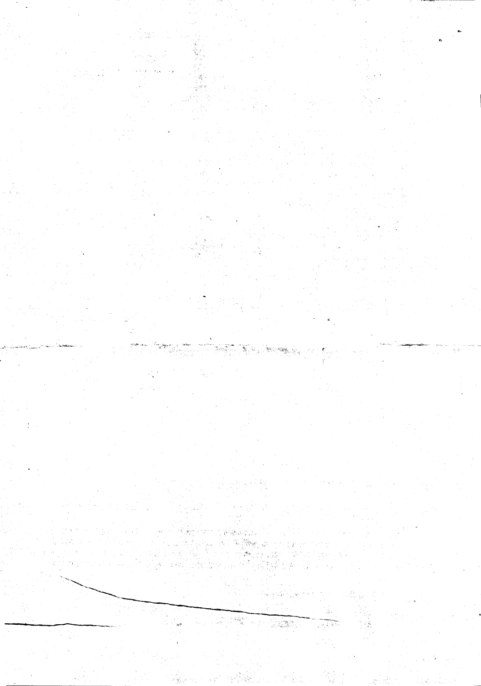